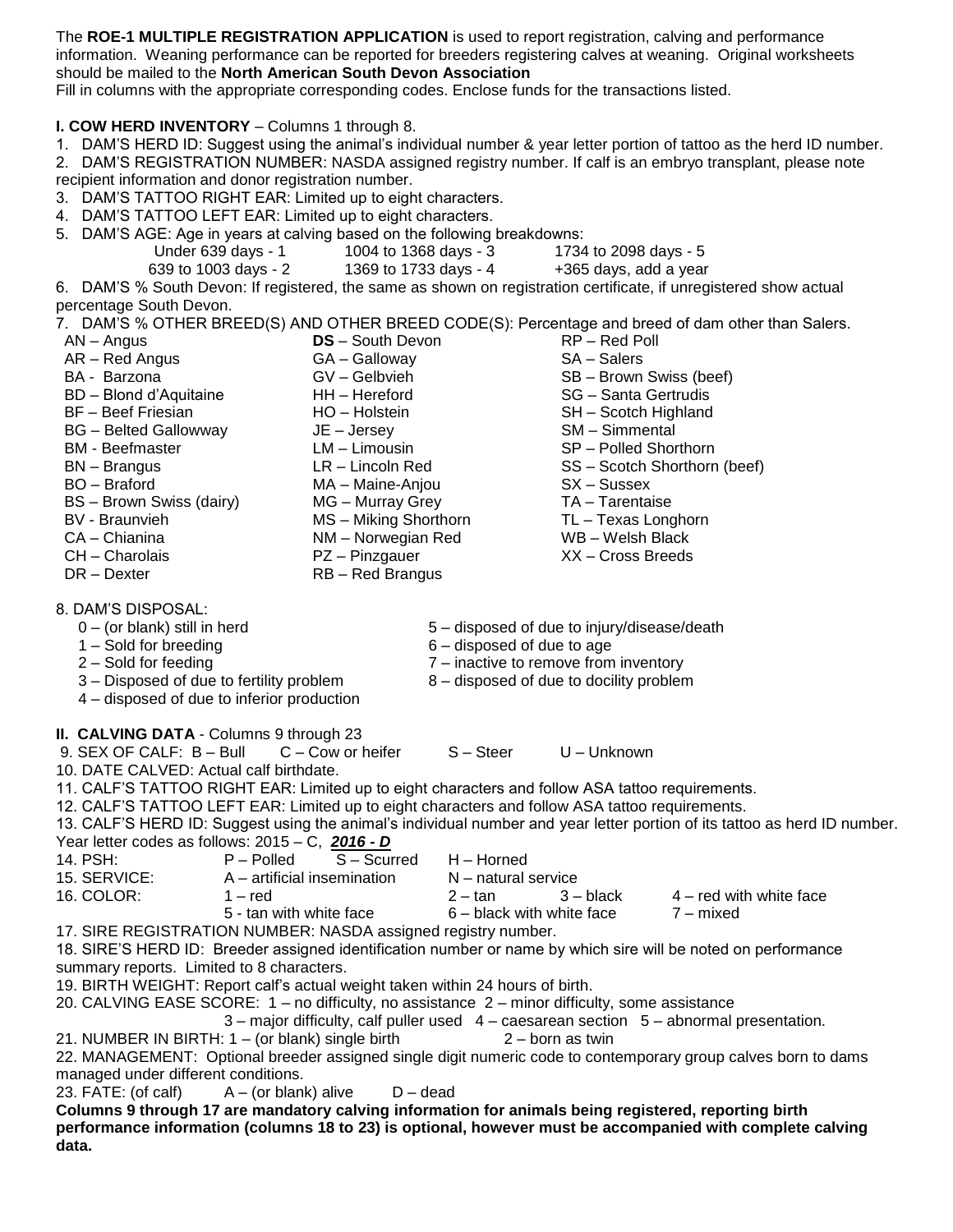The **ROE-1 MULTIPLE REGISTRATION APPLICATION** is used to report registration, calving and performance information. Weaning performance can be reported for breeders registering calves at weaning. Original worksheets should be mailed to the **North American South Devon Association**

Fill in columns with the appropriate corresponding codes. Enclose funds for the transactions listed.

**I. COW HERD INVENTORY** – Columns 1 through 8.

1. DAM'S HERD ID: Suggest using the animal's individual number & year letter portion of tattoo as the herd ID number.

2. DAM'S REGISTRATION NUMBER: NASDA assigned registry number. If calf is an embryo transplant, please note recipient information and donor registration number.

3. DAM'S TATTOO RIGHT EAR: Limited up to eight characters.

4. DAM'S TATTOO LEFT EAR: Limited up to eight characters.

5. DAM'S AGE: Age in years at calving based on the following breakdowns:

- Under 639 days 1 1004 to 1368 days 3 1734 to 2098 days 5
	- 639 to 1003 days 2 1369 to 1733 days 4 +365 days, add a year

6. DAM'S % South Devon: If registered, the same as shown on registration certificate, if unregistered show actual percentage South Devon.

7. DAM'S % OTHER BREED(S) AND OTHER BREED CODE(S): Percentage and breed of dam other than Salers.

- AN Angus AR – Red Angus BA - Barzona BD – Blond d'Aquitaine BF – Beef Friesian BG – Belted Gallowway BM - Beefmaster BN – Brangus BO – Braford BS – Brown Swiss (dairy) BV - Braunvieh CA – Chianina CH – Charolais DR – Dexter **DS** – South Devon GA – Galloway GV – Gelbvieh HH – Hereford HO – Holstein JE – Jersey LM – Limousin LR – Lincoln Red MA – Maine-Anjou MG – Murray Grey MS – Miking Shorthorn NM – Norwegian Red PZ – Pinzgauer RB – Red Brangus RP – Red Poll SA – Salers SB – Brown Swiss (beef) SG – Santa Gertrudis SH – Scotch Highland SM – Simmental SP – Polled Shorthorn SS – Scotch Shorthorn (beef) SX – Sussex TA – Tarentaise TL – Texas Longhorn WB – Welsh Black XX – Cross Breeds 8. DAM'S DISPOSAL: 5 – disposed of due to injury/disease/death
	- 0 (or blank) still in herd
	- 1 Sold for breeding
	- 2 Sold for feeding
- 6 disposed of due to age 7 – inactive to remove from inventory
- 8 disposed of due to docility problem
- 3 Disposed of due to fertility problem 4 – disposed of due to inferior production

## **II. CALVING DATA** - Columns 9 through 23

9. SEX OF CALF: B – Bull C – Cow or heifer S – Steer U – Unknown 10. DATE CALVED: Actual calf birthdate. 11. CALF'S TATTOO RIGHT EAR: Limited up to eight characters and follow ASA tattoo requirements. 12. CALF'S TATTOO LEFT EAR: Limited up to eight characters and follow ASA tattoo requirements. 13. CALF'S HERD ID: Suggest using the animal's individual number and year letter portion of its tattoo as herd ID number. Year letter codes as follows: 2015 – C, *2016 - D* 14. PSH: P – Polled S – Scurred H – Horned 15. SERVICE: A – artificial insemination N – natural service 16. COLOR: 1 – red 2 – tan 3 – black 4 – red with white face 5 - tan with white face 6 – black with white face 7 – mixed 17. SIRE REGISTRATION NUMBER: NASDA assigned registry number. 18. SIRE'S HERD ID: Breeder assigned identification number or name by which sire will be noted on performance summary reports. Limited to 8 characters. 19. BIRTH WEIGHT: Report calf's actual weight taken within 24 hours of birth. 20. CALVING EASE SCORE: 1 – no difficulty, no assistance 2 – minor difficulty, some assistance 3 – major difficulty, calf puller used 4 – caesarean section 5 – abnormal presentation. 21. NUMBER IN BIRTH: 1 – (or blank) single birth 2 – born as twin 22. MANAGEMENT: Optional breeder assigned single digit numeric code to contemporary group calves born to dams

managed under different conditions.

23. FATE: (of calf)  $A - (or blank)$  alive  $D - dead$ 

**Columns 9 through 17 are mandatory calving information for animals being registered, reporting birth performance information (columns 18 to 23) is optional, however must be accompanied with complete calving data.**